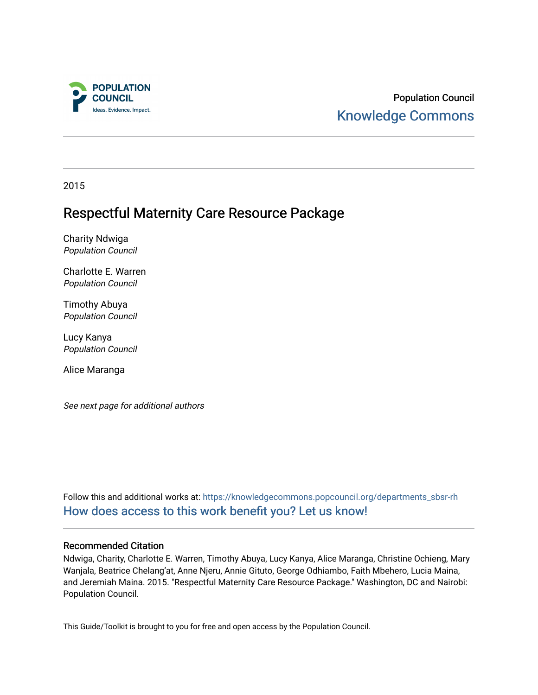

Population Council [Knowledge Commons](https://knowledgecommons.popcouncil.org/) 

2015

# Respectful Maternity Care Resource Package

Charity Ndwiga Population Council

Charlotte E. Warren Population Council

Timothy Abuya Population Council

Lucy Kanya Population Council

Alice Maranga

See next page for additional authors

Follow this and additional works at: [https://knowledgecommons.popcouncil.org/departments\\_sbsr-rh](https://knowledgecommons.popcouncil.org/departments_sbsr-rh?utm_source=knowledgecommons.popcouncil.org%2Fdepartments_sbsr-rh%2F1949&utm_medium=PDF&utm_campaign=PDFCoverPages)  [How does access to this work benefit you? Let us know!](https://pcouncil.wufoo.com/forms/open-access-to-population-council-research/)

## Recommended Citation

Ndwiga, Charity, Charlotte E. Warren, Timothy Abuya, Lucy Kanya, Alice Maranga, Christine Ochieng, Mary Wanjala, Beatrice Chelang'at, Anne Njeru, Annie Gituto, George Odhiambo, Faith Mbehero, Lucia Maina, and Jeremiah Maina. 2015. "Respectful Maternity Care Resource Package." Washington, DC and Nairobi: Population Council.

This Guide/Toolkit is brought to you for free and open access by the Population Council.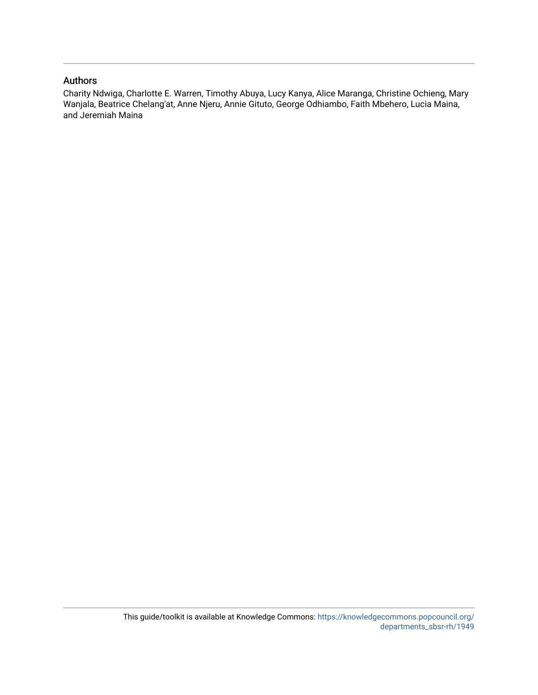## Authors

Charity Ndwiga, Charlotte E. Warren, Timothy Abuya, Lucy Kanya, Alice Maranga, Christine Ochieng, Mary Wanjala, Beatrice Chelang'at, Anne Njeru, Annie Gituto, George Odhiambo, Faith Mbehero, Lucia Maina, and Jeremiah Maina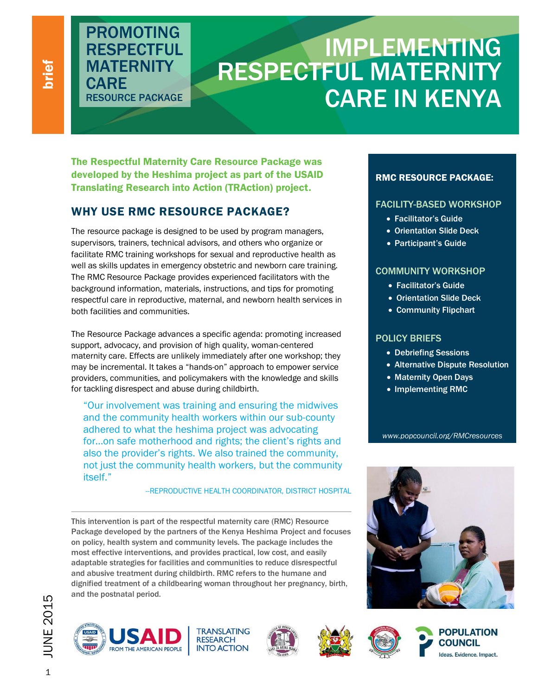brief

# IMPLEMENTING RESPECTFUL MATERNITY CARE IN KENYA

The Respectful Maternity Care Resource Package was developed by the Heshima project as part of the USAID Translating Research into Action (TRAction) project.

# WHY USE RMC RESOURCE PACKAGE?

PROMOTING **RESPECTFUL** 

**MATERNITY** 

RESOURCE PACKAGE

**CARE** 

The resource package is designed to be used by program managers, supervisors, trainers, technical advisors, and others who organize or facilitate RMC training workshops for sexual and reproductive health as well as skills updates in emergency obstetric and newborn care training. The RMC Resource Package provides experienced facilitators with the background information, materials, instructions, and tips for promoting respectful care in reproductive, maternal, and newborn health services in both facilities and communities.

The Resource Package advances a specific agenda: promoting increased support, advocacy, and provision of high quality, woman-centered maternity care. Effects are unlikely immediately after one workshop; they may be incremental. It takes a "hands-on" approach to empower service providers, communities, and policymakers with the knowledge and skills for tackling disrespect and abuse during childbirth.

"Our involvement was training and ensuring the midwives and the community health workers within our sub-county adhered to what the heshima project was advocating for…on safe motherhood and rights; the client's rights and also the provider's rights. We also trained the community, not just the community health workers, but the community itself."

## --REPRODUCTIVE HEALTH COORDINATOR, DISTRICT HOSPITAL

This intervention is part of the respectful maternity care (RMC) Resource Package developed by the partners of the Kenya Heshima Project and focuses on policy, health system and community levels. The package includes the most effective interventions, and provides practical, low cost, and easily adaptable strategies for facilities and communities to reduce disrespectful and abusive treatment during childbirth. RMC refers to the humane and dignified treatment of a childbearing woman throughout her pregnancy, birth, and the postnatal period.









# RMC RESOURCE PACKAGE:

# FACILITY-BASED WORKSHOP

- Facilitator's Guide
- Orientation Slide Deck
- Participant's Guide

## COMMUNITY WORKSHOP

- Facilitator's Guide
- **.** Orientation Slide Deck
- Community Flipchart

## POLICY BRIEFS

- Debriefing Sessions
- Alternative Dispute Resolution
- Maternity Open Days
- Implementing RMC

*www.popcouncil.org/RMCresources*







 $\rightarrow$  JUNE 2015  $\rightarrow$ **JUNE 2015**